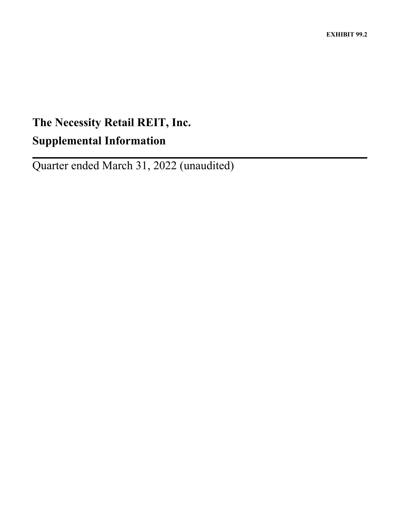# **The Necessity Retail REIT, Inc. Supplemental Information**

Quarter ended March 31, 2022 (unaudited)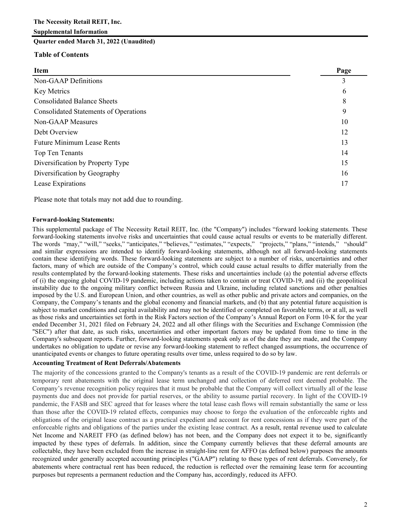**Quarter ended March 31, 2022 (Unaudited)**

## **Table of Contents**

| ×<br>۰.<br>۰. |
|---------------|
|---------------|

| Page |
|------|
| 3    |
| 6    |
| 8    |
| 9    |
| 10   |
| 12   |
| 13   |
| 14   |
| 15   |
| 16   |
| 17   |
|      |

Please note that totals may not add due to rounding.

## **Forward-looking Statements:**

This supplemental package of The Necessity Retail REIT, Inc. (the "Company") includes "forward looking statements. These forward-looking statements involve risks and uncertainties that could cause actual results or events to be materially different. The words "may," "will," "seeks," "anticipates," "believes," "estimates," "expects," "projects," "plans," "intends," "should" and similar expressions are intended to identify forward-looking statements, although not all forward-looking statements contain these identifying words. These forward-looking statements are subject to a number of risks, uncertainties and other factors, many of which are outside of the Company's control, which could cause actual results to differ materially from the results contemplated by the forward-looking statements. These risks and uncertainties include (a) the potential adverse effects of (i) the ongoing global COVID-19 pandemic, including actions taken to contain or treat COVID-19, and (ii) the geopolitical instability due to the ongoing military conflict between Russia and Ukraine, including related sanctions and other penalties imposed by the U.S. and European Union, and other countries, as well as other public and private actors and companies, on the Company, the Company's tenants and the global economy and financial markets, and (b) that any potential future acquisition is subject to market conditions and capital availability and may not be identified or completed on favorable terms, or at all, as well as those risks and uncertainties set forth in the Risk Factors section of the Company's Annual Report on Form 10-K for the year ended December 31, 2021 filed on February 24, 2022 and all other filings with the Securities and Exchange Commission (the "SEC") after that date, as such risks, uncertainties and other important factors may be updated from time to time in the Company's subsequent reports. Further, forward-looking statements speak only as of the date they are made, and the Company undertakes no obligation to update or revise any forward-looking statement to reflect changed assumptions, the occurrence of unanticipated events or changes to future operating results over time, unless required to do so by law.

## **Accounting Treatment of Rent Deferrals/Abatements**

The majority of the concessions granted to the Company's tenants as a result of the COVID-19 pandemic are rent deferrals or temporary rent abatements with the original lease term unchanged and collection of deferred rent deemed probable. The Company's revenue recognition policy requires that it must be probable that the Company will collect virtually all of the lease payments due and does not provide for partial reserves, or the ability to assume partial recovery. In light of the COVID-19 pandemic, the FASB and SEC agreed that for leases where the total lease cash flows will remain substantially the same or less than those after the COVID-19 related effects, companies may choose to forgo the evaluation of the enforceable rights and obligations of the original lease contract as a practical expedient and account for rent concessions as if they were part of the enforceable rights and obligations of the parties under the existing lease contract. As a result, rental revenue used to calculate Net Income and NAREIT FFO (as defined below) has not been, and the Company does not expect it to be, significantly impacted by these types of deferrals. In addition, since the Company currently believes that these deferral amounts are collectable, they have been excluded from the increase in straight-line rent for AFFO (as defined below) purposes the amounts recognized under generally accepted accounting principles ("GAAP") relating to these types of rent deferrals. Conversely, for abatements where contractual rent has been reduced, the reduction is reflected over the remaining lease term for accounting purposes but represents a permanent reduction and the Company has, accordingly, reduced its AFFO.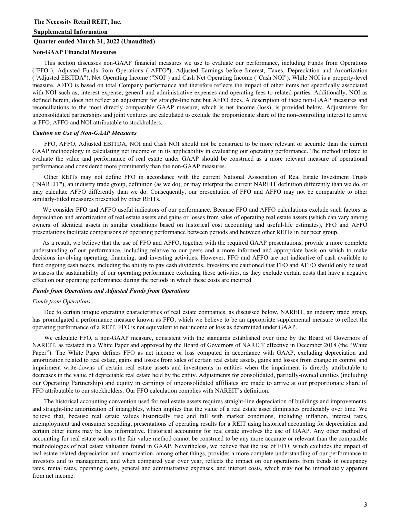#### **Quarter ended March 31, 2022 (Unaudited)**

#### **Non-GAAP Financial Measures**

This section discusses non-GAAP financial measures we use to evaluate our performance, including Funds from Operations ("FFO"), Adjusted Funds from Operations ("AFFO"), Adjusted Earnings before Interest, Taxes, Depreciation and Amortization ("Adjusted EBITDA"), Net Operating Income ("NOI") and Cash Net Operating Income ("Cash NOI"). While NOI is a property-level measure, AFFO is based on total Company performance and therefore reflects the impact of other items not specifically associated with NOI such as, interest expense, general and administrative expenses and operating fees to related parties. Additionally, NOI as defined herein, does not reflect an adjustment for straight-line rent but AFFO does. A description of these non-GAAP measures and reconciliations to the most directly comparable GAAP measure, which is net income (loss), is provided below. Adjustments for unconsolidated partnerships and joint ventures are calculated to exclude the proportionate share of the non-controlling interest to arrive at FFO, AFFO and NOI attributable to stockholders.

#### *Caution on Use of Non-GAAP Measures*

FFO, AFFO, Adjusted EBITDA, NOI and Cash NOI should not be construed to be more relevant or accurate than the current GAAP methodology in calculating net income or in its applicability in evaluating our operating performance. The method utilized to evaluate the value and performance of real estate under GAAP should be construed as a more relevant measure of operational performance and considered more prominently than the non-GAAP measures.

Other REITs may not define FFO in accordance with the current National Association of Real Estate Investment Trusts ("NAREIT"), an industry trade group, definition (as we do), or may interpret the current NAREIT definition differently than we do, or may calculate AFFO differently than we do. Consequently, our presentation of FFO and AFFO may not be comparable to other similarly-titled measures presented by other REITs.

We consider FFO and AFFO useful indicators of our performance. Because FFO and AFFO calculations exclude such factors as depreciation and amortization of real estate assets and gains or losses from sales of operating real estate assets (which can vary among owners of identical assets in similar conditions based on historical cost accounting and useful-life estimates), FFO and AFFO presentations facilitate comparisons of operating performance between periods and between other REITs in our peer group.

As a result, we believe that the use of FFO and AFFO, together with the required GAAP presentations, provide a more complete understanding of our performance, including relative to our peers and a more informed and appropriate basis on which to make decisions involving operating, financing, and investing activities. However, FFO and AFFO are not indicative of cash available to fund ongoing cash needs, including the ability to pay cash dividends. Investors are cautioned that FFO and AFFO should only be used to assess the sustainability of our operating performance excluding these activities, as they exclude certain costs that have a negative effect on our operating performance during the periods in which these costs are incurred.

#### *Funds from Operations and Adjusted Funds from Operations*

#### *Funds from Operations*

Due to certain unique operating characteristics of real estate companies, as discussed below, NAREIT, an industry trade group, has promulgated a performance measure known as FFO, which we believe to be an appropriate supplemental measure to reflect the operating performance of a REIT. FFO is not equivalent to net income or loss as determined under GAAP.

We calculate FFO, a non-GAAP measure, consistent with the standards established over time by the Board of Governors of NAREIT, as restated in a White Paper and approved by the Board of Governors of NAREIT effective in December 2018 (the "White Paper"). The White Paper defines FFO as net income or loss computed in accordance with GAAP, excluding depreciation and amortization related to real estate, gains and losses from sales of certain real estate assets, gains and losses from change in control and impairment write-downs of certain real estate assets and investments in entities when the impairment is directly attributable to decreases in the value of depreciable real estate held by the entity. Adjustments for consolidated, partially-owned entities (including our Operating Partnership) and equity in earnings of unconsolidated affiliates are made to arrive at our proportionate share of FFO attributable to our stockholders. Our FFO calculation complies with NAREIT's definition.

The historical accounting convention used for real estate assets requires straight-line depreciation of buildings and improvements, and straight-line amortization of intangibles, which implies that the value of a real estate asset diminishes predictably over time. We believe that, because real estate values historically rise and fall with market conditions, including inflation, interest rates, unemployment and consumer spending, presentations of operating results for a REIT using historical accounting for depreciation and certain other items may be less informative. Historical accounting for real estate involves the use of GAAP. Any other method of accounting for real estate such as the fair value method cannot be construed to be any more accurate or relevant than the comparable methodologies of real estate valuation found in GAAP. Nevertheless, we believe that the use of FFO, which excludes the impact of real estate related depreciation and amortization, among other things, provides a more complete understanding of our performance to investors and to management, and when compared year over year, reflects the impact on our operations from trends in occupancy rates, rental rates, operating costs, general and administrative expenses, and interest costs, which may not be immediately apparent from net income.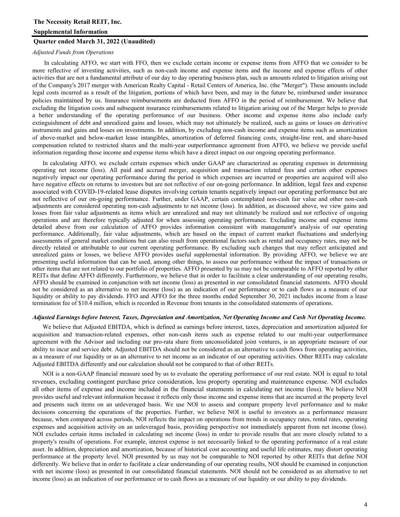## **Supplemental Information**

#### **Quarter ended March 31, 2022 (Unaudited)**

#### *Adjusted Funds from Operations*

In calculating AFFO, we start with FFO, then we exclude certain income or expense items from AFFO that we consider to be more reflective of investing activities, such as non-cash income and expense items and the income and expense effects of other activities that are not a fundamental attribute of our day to day operating business plan, such as amounts related to litigation arising out of the Company's 2017 merger with American Realty Capital - Retail Centers of America, Inc. (the "Merger"). These amounts include legal costs incurred as a result of the litigation, portions of which have been, and may in the future be, reimbursed under insurance policies maintained by us. Insurance reimbursements are deducted from AFFO in the period of reimbursement. We believe that excluding the litigation costs and subsequent insurance reimbursements related to litigation arising out of the Merger helps to provide a better understanding of the operating performance of our business. Other income and expense items also include early extinguishment of debt and unrealized gains and losses, which may not ultimately be realized, such as gains or losses on derivative instruments and gains and losses on investments. In addition, by excluding non-cash income and expense items such as amortization of above-market and below-market lease intangibles, amortization of deferred financing costs, straight-line rent, and share-based compensation related to restricted shares and the multi-year outperformance agreement from AFFO, we believe we provide useful information regarding those income and expense items which have a direct impact on our ongoing operating performance.

In calculating AFFO, we exclude certain expenses which under GAAP are characterized as operating expenses in determining operating net income (loss). All paid and accrued merger, acquisition and transaction related fees and certain other expenses negatively impact our operating performance during the period in which expenses are incurred or properties are acquired will also have negative effects on returns to investors but are not reflective of our on-going performance. In addition, legal fees and expense associated with COVID-19-related lease disputes involving certain tenants negatively impact our operating performance but are not reflective of our on-going performance. Further, under GAAP, certain contemplated non-cash fair value and other non-cash adjustments are considered operating non-cash adjustments to net income (loss). In addition, as discussed above, we view gains and losses from fair value adjustments as items which are unrealized and may not ultimately be realized and not reflective of ongoing operations and are therefore typically adjusted for when assessing operating performance. Excluding income and expense items detailed above from our calculation of AFFO provides information consistent with management's analysis of our operating performance. Additionally, fair value adjustments, which are based on the impact of current market fluctuations and underlying assessments of general market conditions but can also result from operational factors such as rental and occupancy rates, may not be directly related or attributable to our current operating performance. By excluding such changes that may reflect anticipated and unrealized gains or losses, we believe AFFO provides useful supplemental information. By providing AFFO, we believe we are presenting useful information that can be used, among other things, to assess our performance without the impact of transactions or other items that are not related to our portfolio of properties. AFFO presented by us may not be comparable to AFFO reported by other REITs that define AFFO differently. Furthermore, we believe that in order to facilitate a clear understanding of our operating results, AFFO should be examined in conjunction with net income (loss) as presented in our consolidated financial statements. AFFO should not be considered as an alternative to net income (loss) as an indication of our performance or to cash flows as a measure of our liquidity or ability to pay dividends. FFO and AFFO for the three months ended September 30, 2021 includes income from a lease termination fee of \$10.4 million, which is recorded in Revenue from tenants in the consolidated statements of operations.

#### *Adjusted Earnings before Interest, Taxes, Depreciation and Amortization, Net Operating Income and Cash Net Operating Income.*

We believe that Adjusted EBITDA, which is defined as earnings before interest, taxes, depreciation and amortization adjusted for acquisition and transaction-related expenses, other non-cash items such as expense related to our multi-year outperformance agreement with the Advisor and including our pro-rata share from unconsolidated joint ventures, is an appropriate measure of our ability to incur and service debt. Adjusted EBITDA should not be considered as an alternative to cash flows from operating activities, as a measure of our liquidity or as an alternative to net income as an indicator of our operating activities. Other REITs may calculate Adjusted EBITDA differently and our calculation should not be compared to that of other REITs.

NOI is a non-GAAP financial measure used by us to evaluate the operating performance of our real estate. NOI is equal to total revenues, excluding contingent purchase price consideration, less property operating and maintenance expense. NOI excludes all other items of expense and income included in the financial statements in calculating net income (loss). We believe NOI provides useful and relevant information because it reflects only those income and expense items that are incurred at the property level and presents such items on an unleveraged basis. We use NOI to assess and compare property level performance and to make decisions concerning the operations of the properties. Further, we believe NOI is useful to investors as a performance measure because, when compared across periods, NOI reflects the impact on operations from trends in occupancy rates, rental rates, operating expenses and acquisition activity on an unleveraged basis, providing perspective not immediately apparent from net income (loss). NOI excludes certain items included in calculating net income (loss) in order to provide results that are more closely related to a property's results of operations. For example, interest expense is not necessarily linked to the operating performance of a real estate asset. In addition, depreciation and amortization, because of historical cost accounting and useful life estimates, may distort operating performance at the property level. NOI presented by us may not be comparable to NOI reported by other REITs that define NOI differently. We believe that in order to facilitate a clear understanding of our operating results, NOI should be examined in conjunction with net income (loss) as presented in our consolidated financial statements. NOI should not be considered as an alternative to net income (loss) as an indication of our performance or to cash flows as a measure of our liquidity or our ability to pay dividends.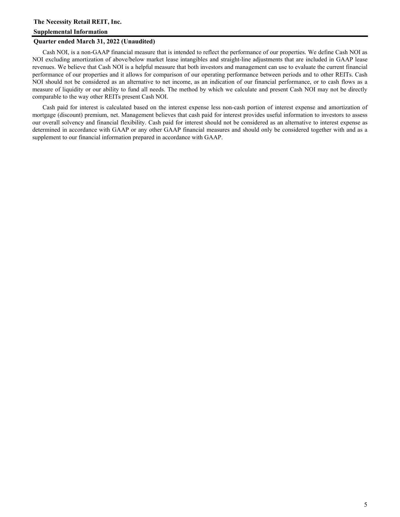#### **Quarter ended March 31, 2022 (Unaudited)**

Cash NOI, is a non-GAAP financial measure that is intended to reflect the performance of our properties. We define Cash NOI as NOI excluding amortization of above/below market lease intangibles and straight-line adjustments that are included in GAAP lease revenues. We believe that Cash NOI is a helpful measure that both investors and management can use to evaluate the current financial performance of our properties and it allows for comparison of our operating performance between periods and to other REITs. Cash NOI should not be considered as an alternative to net income, as an indication of our financial performance, or to cash flows as a measure of liquidity or our ability to fund all needs. The method by which we calculate and present Cash NOI may not be directly comparable to the way other REITs present Cash NOI.

Cash paid for interest is calculated based on the interest expense less non-cash portion of interest expense and amortization of mortgage (discount) premium, net. Management believes that cash paid for interest provides useful information to investors to assess our overall solvency and financial flexibility. Cash paid for interest should not be considered as an alternative to interest expense as determined in accordance with GAAP or any other GAAP financial measures and should only be considered together with and as a supplement to our financial information prepared in accordance with GAAP.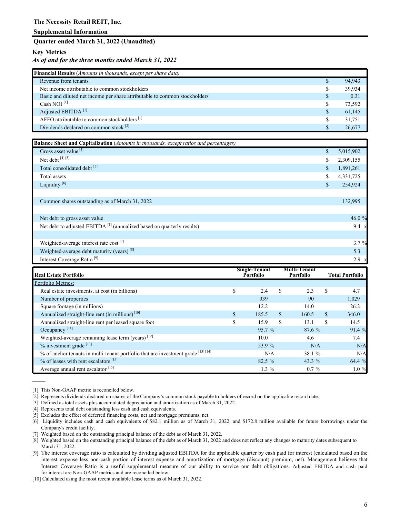#### **Quarter ended March 31, 2022 (Unaudited)**

## **Key Metrics**

## *As of and for the three months ended March 31, 2022*

| <b>Financial Results</b> ( <i>Amounts in thousands, except per share data</i> ) |    |        |  |  |  |  |
|---------------------------------------------------------------------------------|----|--------|--|--|--|--|
| Revenue from tenants                                                            | S  | 94,943 |  |  |  |  |
| Net income attributable to common stockholders                                  |    | 39.934 |  |  |  |  |
| Basic and diluted net income per share attributable to common stockholders      | S  | 0.31   |  |  |  |  |
| Cash NOI $^{[1]}$                                                               | S  | 73,592 |  |  |  |  |
| Adjusted EBITDA <sup>[1]</sup>                                                  | \$ | 61,145 |  |  |  |  |
| AFFO attributable to common stockholders <sup>[1]</sup>                         | S  | 31.751 |  |  |  |  |
| Dividends declared on common stock <sup>[2]</sup>                               |    | 26,677 |  |  |  |  |

| Balance Sheet and Capitalization (Amounts in thousands, except ratios and percentages) |                 |
|----------------------------------------------------------------------------------------|-----------------|
| Gross asset value <sup>[3]</sup>                                                       | \$<br>5,015,902 |
| Net debt [4] [5]                                                                       | \$<br>2,309,155 |
| Total consolidated debt <sup>[5]</sup>                                                 | \$<br>1,891,261 |
| Total assets                                                                           | \$<br>4,331,725 |
| Liquidity <sup>[6]</sup>                                                               | \$<br>254,924   |
|                                                                                        |                 |
| Common shares outstanding as of March 31, 2022                                         | 132,995         |
|                                                                                        |                 |
| Net debt to gross asset value                                                          | 46.0 $%$        |
| Net debt to adjusted EBITDA <sup>[1]</sup> (annualized based on quarterly results)     | $9.4 \times$    |
|                                                                                        |                 |
| Weighted-average interest rate cost [7]                                                | $3.7 \%$        |
| Weighted-average debt maturity (years) <sup>[8]</sup>                                  | 5.3             |
| Interest Coverage Ratio <sup>[9]</sup>                                                 | $2.9 \times$    |

| <b>Real Estate Portfolio</b>                                                     | <b>Single-Tenant</b><br><b>Portfolio</b> |          |     | <b>Multi-Tenant</b><br>Portfolio |     | <b>Total Portfolio</b> |
|----------------------------------------------------------------------------------|------------------------------------------|----------|-----|----------------------------------|-----|------------------------|
| Portfolio Metrics:                                                               |                                          |          |     |                                  |     |                        |
| Real estate investments, at cost (in billions)                                   | \$                                       | 2.4      | \$  | 2.3                              | S   | 4.7                    |
| Number of properties                                                             |                                          | 939      |     | 90                               |     | 1,029                  |
| Square footage (in millions)                                                     |                                          | 12.2     |     | 14.0                             |     | 26.2                   |
| Annualized straight-line rent (in millions) <sup>[10]</sup>                      | \$                                       | 185.5    | \$. | 160.5                            | \$. | 346.0                  |
| Annualized straight-line rent per leased square foot                             | \$                                       | 15.9     | \$  | 13.1                             | S   | 14.5                   |
| Occupancy <sup>[11]</sup>                                                        |                                          | 95.7%    |     | 87.6 %                           |     | 91.4 %                 |
| Weighted-average remaining lease term (years) $[12]$                             |                                          | 10.0     |     | 4.6                              |     | 7.4                    |
| $%$ investment grade $[13]$                                                      |                                          | 53.9 %   |     | N/A                              |     | N/A                    |
| % of anchor tenants in multi-tenant portfolio that are investment grade [13][14] |                                          | N/A      |     | 38.1 %                           |     | N/A                    |
| % of leases with rent escalators <sup>[15]</sup>                                 |                                          | $82.5\%$ |     | 43.3 $%$                         |     | 64.4 %                 |
| Average annual rent escalator <sup>[15]</sup>                                    |                                          | $1.3\%$  |     | $0.7\%$                          |     | $1.0\%$                |

[1] This Non-GAAP metric is reconciled below.

——

- [2] Represents dividends declared on shares of the Company's common stock payable to holders of record on the applicable record date.
- [3] Defined as total assets plus accumulated depreciation and amortization as of March 31, 2022.
- [4] Represents total debt outstanding less cash and cash equivalents.
- [5] Excludes the effect of deferred financing costs, net and mortgage premiums, net.
- [6] Liquidity includes cash and cash equivalents of \$82.1 million as of March 31, 2022, and \$172.8 million available for future borrowings under the Company's credit facility.
- [7] Weighted based on the outstanding principal balance of the debt as of March 31, 2022.
- [8] Weighted based on the outstanding principal balance of the debt as of March 31, 2022 and does not reflect any changes to maturity dates subsequent to March 31, 2022.
- [9] The interest coverage ratio is calculated by dividing adjusted EBITDA for the applicable quarter by cash paid for interest (calculated based on the interest expense less non-cash portion of interest expense and amortization of mortgage (discount) premium, net). Management believes that Interest Coverage Ratio is a useful supplemental measure of our ability to service our debt obligations. Adjusted EBITDA and cash paid for interest are Non-GAAP metrics and are reconciled below.

[10] Calculated using the most recent available lease terms as of March 31, 2022.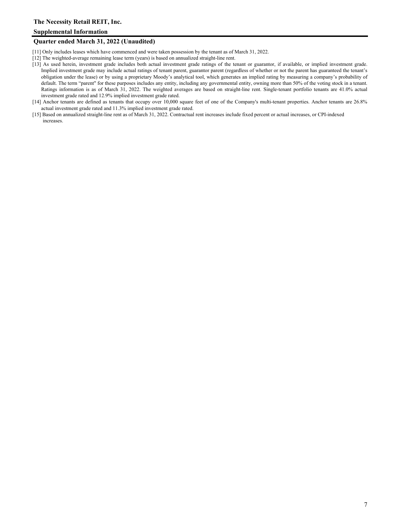## **Supplemental Information**

#### **Quarter ended March 31, 2022 (Unaudited)**

- [11] Only includes leases which have commenced and were taken possession by the tenant as of March 31, 2022.
- [12] The weighted-average remaining lease term (years) is based on annualized straight-line rent.
- [13] As used herein, investment grade includes both actual investment grade ratings of the tenant or guarantor, if available, or implied investment grade. Implied investment grade may include actual ratings of tenant parent, guarantor parent (regardless of whether or not the parent has guaranteed the tenant's obligation under the lease) or by using a proprietary Moody's analytical tool, which generates an implied rating by measuring a company's probability of default. The term "parent" for these purposes includes any entity, including any governmental entity, owning more than 50% of the voting stock in a tenant. Ratings information is as of March 31, 2022. The weighted averages are based on straight-line rent. Single-tenant portfolio tenants are 41.0% actual investment grade rated and 12.9% implied investment grade rated.
- [14] Anchor tenants are defined as tenants that occupy over 10,000 square feet of one of the Company's multi-tenant properties. Anchor tenants are 26.8% actual investment grade rated and 11.3% implied investment grade rated.
- [15] Based on annualized straight-line rent as of March 31, 2022. Contractual rent increases include fixed percent or actual increases, or CPI-indexed increases.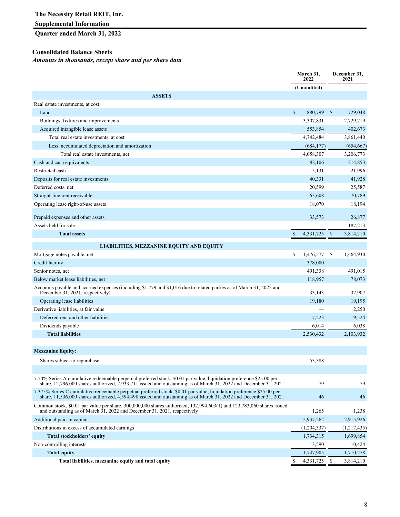## **Supplemental Information**

## **Quarter ended March 31, 2022**

## **Consolidated Balance Sheets**

*Amounts in thousands, except share and per share data*

|                                                                                                                                                                                                                                                   |               | March 31,<br>2022 |    | December 31,<br>2021 |
|---------------------------------------------------------------------------------------------------------------------------------------------------------------------------------------------------------------------------------------------------|---------------|-------------------|----|----------------------|
|                                                                                                                                                                                                                                                   |               | (Unaudited)       |    |                      |
| <b>ASSETS</b>                                                                                                                                                                                                                                     |               |                   |    |                      |
| Real estate investments, at cost:                                                                                                                                                                                                                 |               |                   |    |                      |
| Land                                                                                                                                                                                                                                              | $\mathsf{\$}$ | 880,799           | -S | 729,048              |
| Buildings, fixtures and improvements                                                                                                                                                                                                              |               | 3,307,831         |    | 2,729,719            |
| Acquired intangible lease assets                                                                                                                                                                                                                  |               | 553,854           |    | 402,673              |
| Total real estate investments, at cost                                                                                                                                                                                                            |               | 4,742,484         |    | 3,861,440            |
| Less: accumulated depreciation and amortization                                                                                                                                                                                                   |               | (684, 177)        |    | (654, 667)           |
| Total real estate investments, net                                                                                                                                                                                                                |               | 4,058,307         |    | 3,206,773            |
| Cash and cash equivalents                                                                                                                                                                                                                         |               | 82,106            |    | 214,853              |
| Restricted cash                                                                                                                                                                                                                                   |               | 15,131            |    | 21,996               |
| Deposits for real estate investments                                                                                                                                                                                                              |               | 40,331            |    | 41,928               |
| Deferred costs, net                                                                                                                                                                                                                               |               | 20,599            |    | 25,587               |
| Straight-line rent receivable                                                                                                                                                                                                                     |               | 63,608            |    | 70,789               |
| Operating lease right-of-use assets                                                                                                                                                                                                               |               | 18,070            |    | 18,194               |
| Prepaid expenses and other assets                                                                                                                                                                                                                 |               | 33,573            |    | 26,877               |
| Assets held for sale                                                                                                                                                                                                                              |               |                   |    | 187,213              |
| <b>Total assets</b>                                                                                                                                                                                                                               | \$            | 4,331,725         | \$ | 3,814,210            |
|                                                                                                                                                                                                                                                   |               |                   |    |                      |
| <b>LIABILITIES, MEZZANINE EQUITY AND EQUITY</b>                                                                                                                                                                                                   |               |                   |    |                      |
| Mortgage notes payable, net                                                                                                                                                                                                                       | \$            | 1,476,577         | -S | 1,464,930            |
| Credit facility                                                                                                                                                                                                                                   |               | 378,000           |    |                      |
| Senior notes, net                                                                                                                                                                                                                                 |               | 491,338           |    | 491,015              |
| Below market lease liabilities, net                                                                                                                                                                                                               |               | 118,957           |    | 78,073               |
| Accounts payable and accrued expenses (including \$1,779 and \$1,016 due to related parties as of March 31, 2022 and<br>December 31, 2021, respectively)                                                                                          |               | 33,143            |    | 32,907               |
| Operating lease liabilities                                                                                                                                                                                                                       |               | 19,180            |    | 19,195               |
| Derivative liabilities, at fair value                                                                                                                                                                                                             |               |                   |    | 2,250                |
| Deferred rent and other liabilities                                                                                                                                                                                                               |               | 7,223             |    | 9,524                |
| Dividends payable                                                                                                                                                                                                                                 |               | 6,014             |    | 6,038                |
| <b>Total liabilities</b>                                                                                                                                                                                                                          |               | 2,530,432         |    | 2,103,932            |
|                                                                                                                                                                                                                                                   |               |                   |    |                      |
| <b>Mezzanine Equity:</b>                                                                                                                                                                                                                          |               |                   |    |                      |
| Shares subject to repurchase                                                                                                                                                                                                                      |               | 53,388            |    |                      |
|                                                                                                                                                                                                                                                   |               |                   |    |                      |
| 7.50% Series A cumulative redeemable perpetual preferred stock, \$0.01 par value, liquidation preference \$25.00 per<br>share, 12,796,000 shares authorized, $\bar{7}$ ,933,711 issued and outstanding as of March 31, 2022 and December 31, 2021 |               | 79                |    | 79                   |
| 7.375% Series C cumulative redeemable perpetual preferred stock, \$0.01 par value, liquidation preference \$25.00 per<br>share, $11,536,000$ shares authorized, $4,594,498$ issued and outstanding as of March 31, 2022 and December 31, 2021     |               | 46                |    | 46                   |
| Common stock, \$0.01 par value per share, 300,000,000 shares authorized, 132,994,603(1) and 123,783,060 shares issued<br>and outstanding as of March $31, 2022$ and December 31, 2021, respectively                                               |               | 1,265             |    | 1,238                |
| Additional paid-in capital                                                                                                                                                                                                                        |               | 2,937,262         |    | 2,915,926            |
| Distributions in excess of accumulated earnings                                                                                                                                                                                                   |               | (1,204,337)       |    | (1,217,435)          |
| <b>Total stockholders' equity</b>                                                                                                                                                                                                                 |               | 1,734,315         |    | 1,699,854            |
| Non-controlling interests                                                                                                                                                                                                                         |               | 13,590            |    | 10,424               |
| <b>Total equity</b>                                                                                                                                                                                                                               |               | 1,747,905         |    | 1,710,278            |
| Total liabilities, mezzanine equity and total equity                                                                                                                                                                                              | \$            | 4,331,725         | -S | 3,814,210            |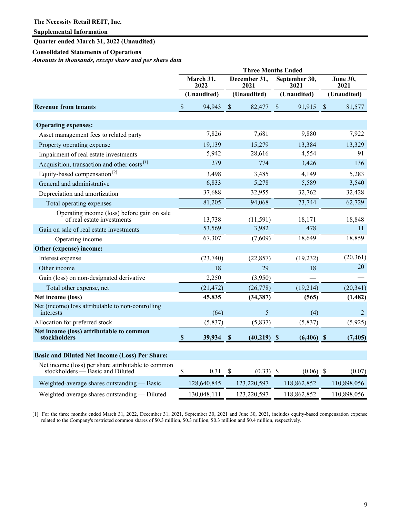——

**Quarter ended March 31, 2022 (Unaudited)**

#### **Consolidated Statements of Operations**

*Amounts in thousands, except share and per share data* 

|                                                                                        |                           |             |                           | <b>Three Months Ended</b> |                                      |              |               |                         |
|----------------------------------------------------------------------------------------|---------------------------|-------------|---------------------------|---------------------------|--------------------------------------|--------------|---------------|-------------------------|
|                                                                                        | March 31,<br>2022         |             |                           | December 31,<br>2021      | September 30,<br>2021<br>(Unaudited) |              |               | <b>June 30,</b><br>2021 |
|                                                                                        | (Unaudited)               |             | (Unaudited)               |                           |                                      |              |               | (Unaudited)             |
| <b>Revenue from tenants</b>                                                            | \$                        | 94,943      | $\boldsymbol{\mathsf{S}}$ | 82,477                    | $\boldsymbol{\mathsf{S}}$            | 91,915       | $\mathcal{S}$ | 81,577                  |
| <b>Operating expenses:</b>                                                             |                           |             |                           |                           |                                      |              |               |                         |
| Asset management fees to related party                                                 |                           | 7,826       |                           | 7,681                     |                                      | 9,880        |               | 7,922                   |
| Property operating expense                                                             |                           | 19,139      |                           | 15,279                    |                                      | 13,384       |               | 13,329                  |
| Impairment of real estate investments                                                  |                           | 5,942       |                           | 28,616                    |                                      | 4,554        |               | 91                      |
| Acquisition, transaction and other costs <sup>[1]</sup>                                |                           | 279         |                           | 774                       |                                      | 3,426        |               | 136                     |
| Equity-based compensation <sup>[2]</sup>                                               |                           | 3,498       |                           | 3,485                     |                                      | 4,149        |               | 5,283                   |
| General and administrative                                                             |                           | 6,833       |                           | 5,278                     |                                      | 5,589        |               | 3,540                   |
| Depreciation and amortization                                                          |                           | 37,688      |                           | 32,955                    |                                      | 32,762       |               | 32,428                  |
| Total operating expenses                                                               |                           | 81,205      |                           | 94,068                    |                                      | 73,744       |               | 62,729                  |
| Operating income (loss) before gain on sale<br>of real estate investments              |                           | 13,738      |                           | (11, 591)                 |                                      | 18,171       |               | 18,848                  |
| Gain on sale of real estate investments                                                |                           | 53,569      |                           | 3,982                     |                                      | 478          |               | 11                      |
| Operating income                                                                       |                           | 67,307      |                           | (7,609)                   |                                      | 18,649       |               | 18,859                  |
| Other (expense) income:                                                                |                           |             |                           |                           |                                      |              |               |                         |
| Interest expense                                                                       |                           | (23,740)    |                           | (22, 857)                 |                                      | (19, 232)    |               | (20, 361)               |
| Other income                                                                           |                           | 18          |                           | 29                        |                                      | 18           |               | 20                      |
| Gain (loss) on non-designated derivative                                               |                           | 2,250       |                           | (3,950)                   |                                      |              |               |                         |
| Total other expense, net                                                               |                           | (21, 472)   |                           | (26, 778)                 |                                      | (19,214)     |               | (20, 341)               |
| Net income (loss)                                                                      |                           | 45,835      |                           | (34, 387)                 |                                      | (565)        |               | (1, 482)                |
| Net (income) loss attributable to non-controlling<br>interests                         |                           | (64)        |                           | 5                         |                                      | (4)          |               | 2                       |
| Allocation for preferred stock                                                         |                           | (5,837)     |                           | (5,837)                   |                                      | (5,837)      |               | (5,925)                 |
| Net income (loss) attributable to common<br>stockholders                               | $\boldsymbol{\mathsf{s}}$ | 39,934      |                           | $(40,219)$ \$             |                                      | $(6,406)$ \$ |               | (7, 405)                |
| <b>Basic and Diluted Net Income (Loss) Per Share:</b>                                  |                           |             |                           |                           |                                      |              |               |                         |
| Net income (loss) per share attributable to common<br>stockholders — Basic and Diluted | S                         | 0.31        | <sup>S</sup>              | $(0.33)$ \$               |                                      | (0.06)       | - \$          | (0.07)                  |
| Weighted-average shares outstanding — Basic                                            |                           | 128,640,845 |                           | 123,220,597               |                                      | 118,862,852  |               | 110,898,056             |
| Weighted-average shares outstanding — Diluted                                          |                           | 130,048,111 |                           | 123,220,597               |                                      | 118,862,852  |               | 110,898,056             |

[1] For the three months ended March 31, 2022, December 31, 2021, September 30, 2021 and June 30, 2021, includes equity-based compensation expense related to the Company's restricted common shares of \$0.3 million, \$0.3 million, \$0.3 million and \$0.4 million, respectively.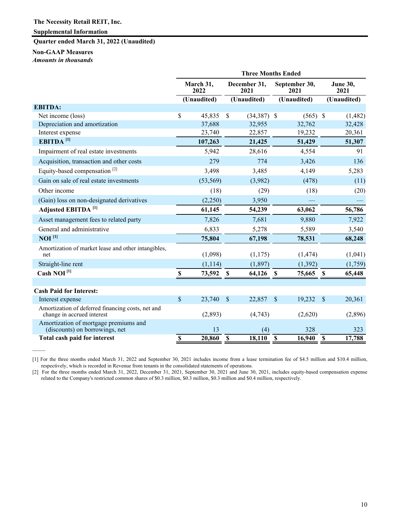## **Quarter ended March 31, 2022 (Unaudited)**

## **Non-GAAP Measures**

*Amounts in thousands*

——

|                                                                                 | <b>Three Months Ended</b> |             |             |                      |                         |               |                         |  |  |  |  |
|---------------------------------------------------------------------------------|---------------------------|-------------|-------------|----------------------|-------------------------|---------------|-------------------------|--|--|--|--|
|                                                                                 | March 31,<br>2022         |             |             | December 31,<br>2021 | September 30,<br>2021   |               | <b>June 30,</b><br>2021 |  |  |  |  |
|                                                                                 |                           | (Unaudited) |             | (Unaudited)          | (Unaudited)             |               | (Unaudited)             |  |  |  |  |
| <b>EBITDA:</b>                                                                  |                           |             |             |                      |                         |               |                         |  |  |  |  |
| Net income (loss)                                                               | \$                        | 45,835      | \$          | $(34,387)$ \$        | $(565)$ \$              |               | (1,482)                 |  |  |  |  |
| Depreciation and amortization                                                   |                           | 37,688      |             | 32,955               | 32,762                  |               | 32,428                  |  |  |  |  |
| Interest expense                                                                |                           | 23,740      |             | 22,857               | 19,232                  |               | 20,361                  |  |  |  |  |
| EBITDA <sup>[1]</sup>                                                           |                           | 107,263     |             | 21,425               | 51,429                  |               | 51,307                  |  |  |  |  |
| Impairment of real estate investments                                           |                           | 5,942       |             | 28,616               | 4,554                   |               | 91                      |  |  |  |  |
| Acquisition, transaction and other costs                                        |                           | 279         |             | 774                  | 3,426                   |               | 136                     |  |  |  |  |
| Equity-based compensation <sup>[2]</sup>                                        |                           | 3,498       |             | 3,485                | 4,149                   |               | 5,283                   |  |  |  |  |
| Gain on sale of real estate investments                                         |                           | (53, 569)   |             | (3,982)              | (478)                   |               | (11)                    |  |  |  |  |
| Other income                                                                    |                           | (18)        |             | (29)                 | (18)                    |               | (20)                    |  |  |  |  |
| (Gain) loss on non-designated derivatives                                       |                           | (2,250)     |             | 3,950                |                         |               |                         |  |  |  |  |
| Adjusted EBITDA <sup>[1]</sup>                                                  |                           | 61,145      |             | 54,239               | 63,062                  |               | 56,786                  |  |  |  |  |
| Asset management fees to related party                                          |                           | 7,826       |             | 7,681                | 9,880                   |               | 7,922                   |  |  |  |  |
| General and administrative                                                      |                           | 6,833       |             | 5,278                | 5,589                   |               | 3,540                   |  |  |  |  |
| $NOI$ <sup>[1]</sup>                                                            |                           | 75,804      |             | 67,198               | 78,531                  |               | 68,248                  |  |  |  |  |
| Amortization of market lease and other intangibles,<br>net                      |                           | (1,098)     |             | (1,175)              | (1, 474)                |               | (1,041)                 |  |  |  |  |
| Straight-line rent                                                              |                           | (1, 114)    |             | (1, 897)             | (1, 392)                |               | (1,759)                 |  |  |  |  |
| Cash NOI <sup>[1]</sup>                                                         | $\mathbf S$               | 73,592      | $\mathbf S$ | 64,126               | - \$<br>75,665          | <b>S</b>      | 65,448                  |  |  |  |  |
|                                                                                 |                           |             |             |                      |                         |               |                         |  |  |  |  |
| <b>Cash Paid for Interest:</b>                                                  |                           |             |             |                      |                         |               |                         |  |  |  |  |
| Interest expense                                                                | $\mathcal{S}$             | 23,740      | $\sqrt{\ }$ | 22,857               | $\mathcal{S}$<br>19,232 | $\mathcal{S}$ | 20,361                  |  |  |  |  |
| Amortization of deferred financing costs, net and<br>change in accrued interest |                           | (2,893)     |             | (4,743)              | (2,620)                 |               | (2,896)                 |  |  |  |  |
| Amortization of mortgage premiums and<br>(discounts) on borrowings, net         |                           | 13          |             | (4)                  | 328                     |               | 323                     |  |  |  |  |
| Total cash paid for interest                                                    | $\mathbf S$               | 20,860      | $\mathbf S$ | 18,110               | $\mathbf S$<br>16,940   | $\mathbf S$   | 17,788                  |  |  |  |  |

[1] For the three months ended March 31, 2022 and September 30, 2021 includes income from a lease termination fee of \$4.5 million and \$10.4 million, respectively, which is recorded in Revenue from tenants in the consolidated statements of operations.

[2] For the three months ended March 31, 2022, December 31, 2021, September 30, 2021 and June 30, 2021, includes equity-based compensation expense related to the Company's restricted common shares of \$0.3 million, \$0.3 million, \$0.3 million and \$0.4 million, respectively.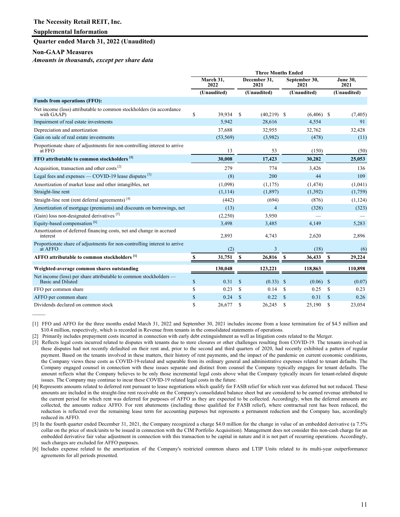## **Supplemental Information**

#### **Quarter ended March 31, 2022 (Unaudited)**

#### **Non-GAAP Measures**

——

*Amounts in thousands, except per share data*

|                                                                                      | <b>Three Months Ended</b> |                   |                      |                |                       |              |               |                         |
|--------------------------------------------------------------------------------------|---------------------------|-------------------|----------------------|----------------|-----------------------|--------------|---------------|-------------------------|
|                                                                                      |                           | March 31,<br>2022 | December 31,<br>2021 |                | September 30,<br>2021 |              |               | <b>June 30,</b><br>2021 |
|                                                                                      |                           | (Unaudited)       |                      | (Unaudited)    |                       | (Unaudited)  |               | (Unaudited)             |
| <b>Funds from operations (FFO):</b>                                                  |                           |                   |                      |                |                       |              |               |                         |
| Net income (loss) attributable to common stockholders (in accordance<br>with GAAP)   | \$                        | 39,934            | \$                   | $(40,219)$ \$  |                       | $(6,406)$ \$ |               | (7, 405)                |
| Impairment of real estate investments                                                |                           | 5,942             |                      | 28,616         |                       | 4,554        |               | 91                      |
| Depreciation and amortization                                                        |                           | 37,688            |                      | 32,955         |                       | 32,762       |               | 32,428                  |
| Gain on sale of real estate investments                                              |                           | (53, 569)         |                      | (3,982)        |                       | (478)        |               | (11)                    |
| Proportionate share of adjustments for non-controlling interest to arrive<br>at FFO  |                           | 13                |                      | 53             |                       | (150)        |               | (50)                    |
| FFO attributable to common stockholders [1]                                          |                           | 30,008            |                      | 17,423         |                       | 30,282       |               | 25,053                  |
| Acquisition, transaction and other costs <sup>[2]</sup>                              |                           | 279               |                      | 774            |                       | 3,426        |               | 136                     |
| Legal fees and expenses — COVID-19 lease disputes $^{[3]}$                           |                           | (8)               |                      | 200            |                       | 44           |               | 109                     |
| Amortization of market lease and other intangibles, net                              |                           | (1,098)           |                      | (1,175)        |                       | (1, 474)     |               | (1,041)                 |
| Straight-line rent                                                                   |                           | (1, 114)          |                      | (1, 897)       |                       | (1, 392)     |               | (1,759)                 |
| Straight-line rent (rent deferral agreements) <sup>[4]</sup>                         |                           | (442)             |                      | (694)          |                       | (876)        |               | (1, 124)                |
| Amortization of mortgage (premiums) and discounts on borrowings, net                 |                           | (13)              |                      | $\overline{4}$ |                       | (328)        |               | (323)                   |
| (Gain) loss non-designated derivatives $[5]$                                         |                           | (2,250)           |                      | 3,950          |                       |              |               |                         |
| Equity-based compensation <sup>[6]</sup>                                             |                           | 3,498             |                      | 3,485          |                       | 4,149        |               | 5,283                   |
| Amortization of deferred financing costs, net and change in accrued<br>interest      |                           | 2,893             |                      | 4,743          |                       | 2,620        |               | 2,896                   |
| Proportionate share of adjustments for non-controlling interest to arrive<br>at AFFO |                           | (2)               |                      | 3              |                       | (18)         |               | (6)                     |
| AFFO attributable to common stockholders <sup>[1]</sup>                              |                           | 31,751            | S                    | 26,816         | -S                    | 36,433       | -S            | 29,224                  |
| Weighted-average common shares outstanding                                           |                           | 130.048           |                      | 123,221        |                       | 118,863      |               | 110,898                 |
| Net income (loss) per share attributable to common stockholders —                    |                           |                   |                      |                |                       |              |               |                         |
| Basic and Diluted                                                                    | \$                        | 0.31              | $\mathcal{S}$        | $(0.33)$ \$    |                       | $(0.06)$ \$  |               | (0.07)                  |
| FFO per common share                                                                 | \$                        | 0.23              | S                    | 0.14           | S                     | 0.25         | <sup>\$</sup> | 0.23                    |
| AFFO per common share                                                                | \$                        | 0.24              | $\mathcal{S}$        | 0.22           | $\mathbb{S}$          | 0.31         | $\mathcal{S}$ | 0.26                    |
| Dividends declared on common stock                                                   | \$                        | 26,677            | \$                   | 26.245         | <sup>\$</sup>         | 25.190       | <sup>\$</sup> | 23,054                  |

[1] FFO and AFFO for the three months ended March 31, 2022 and September 30, 2021 includes income from a lease termination fee of \$4.5 million and \$10.4 million, respectively, which is recorded in Revenue from tenants in the consolidated statements of operations.

[2] Primarily includes prepayment costs incurred in connection with early debt extinguishment as well as litigation costs related to the Merger.

- [3] Reflects legal costs incurred related to disputes with tenants due to store closures or other challenges resulting from COVID-19. The tenants involved in these disputes had not recently defaulted on their rent and, prior to the second and third quarters of 2020, had recently exhibited a pattern of regular payment. Based on the tenants involved in these matters, their history of rent payments, and the impact of the pandemic on current economic conditions, the Company views these costs as COVID-19-related and separable from its ordinary general and administrative expenses related to tenant defaults. The Company engaged counsel in connection with these issues separate and distinct from counsel the Company typically engages for tenant defaults. The amount reflects what the Company believes to be only those incremental legal costs above what the Company typically incurs for tenant-related dispute issues. The Company may continue to incur these COVID-19 related legal costs in the future.
- [4] Represents amounts related to deferred rent pursuant to lease negotiations which qualify for FASB relief for which rent was deferred but not reduced. These amounts are included in the straight-line rent receivable on the Company's consolidated balance sheet but are considered to be earned revenue attributed to the current period for which rent was deferred for purposes of AFFO as they are expected to be collected. Accordingly, when the deferred amounts are collected, the amounts reduce AFFO. For rent abatements (including those qualified for FASB relief), where contractual rent has been reduced, the reduction is reflected over the remaining lease term for accounting purposes but represents a permanent reduction and the Company has, accordingly reduced its AFFO.
- [5] In the fourth quarter ended December 31, 2021, the Company recognized a charge \$4.0 million for the change in value of an embedded derivative (a 7.5% collar on the price of stock/units to be issued in connection with the CIM Portfolio Acquisition). Management does not consider this non-cash charge for an embedded derivative fair value adjustment in connection with this transaction to be capital in nature and it is not part of recurring operations. Accordingly, such charges are excluded for AFFO purposes.
- [6] Includes expense related to the amortization of the Company's restricted common shares and LTIP Units related to its multi-year outperformance agreements for all periods presented.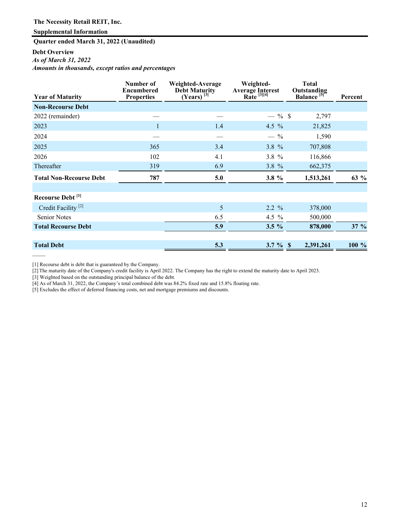**Quarter ended March 31, 2022 (Unaudited)**

## **Debt Overview**

*As of March 31, 2022*

——

*Amounts in thousands, except ratios and percentages* 

| <b>Year of Maturity</b>        | Number of<br><b>Encumbered</b><br><b>Properties</b> | Weighted-Average<br><b>Debt Maturity</b><br>$(Years)^{3}$ | Weighted-<br>Average Interest<br>Rate<br>$^{[3][4]}$ | <b>Total</b><br>Outstanding<br>Balance <sup>[5]</sup> <sup>e</sup> | Percent |
|--------------------------------|-----------------------------------------------------|-----------------------------------------------------------|------------------------------------------------------|--------------------------------------------------------------------|---------|
| <b>Non-Recourse Debt</b>       |                                                     |                                                           |                                                      |                                                                    |         |
| 2022 (remainder)               |                                                     |                                                           | $-$ % \$                                             | 2,797                                                              |         |
| 2023                           |                                                     | 1.4                                                       | 4.5 $%$                                              | 21,825                                                             |         |
| 2024                           |                                                     |                                                           | $-$ %                                                | 1,590                                                              |         |
| 2025                           | 365                                                 | 3.4                                                       | $3.8 \%$                                             | 707,808                                                            |         |
| 2026                           | 102                                                 | 4.1                                                       | 3.8 %                                                | 116,866                                                            |         |
| Thereafter                     | 319                                                 | 6.9                                                       | 3.8 %                                                | 662,375                                                            |         |
| <b>Total Non-Recourse Debt</b> | 787                                                 | 5.0                                                       | 3.8 $%$                                              | 1,513,261                                                          | 63 %    |
| Recourse Debt <sup>[1]</sup>   |                                                     |                                                           |                                                      |                                                                    |         |
| Credit Facility <sup>[2]</sup> |                                                     | 5                                                         | 2.2 %                                                | 378,000                                                            |         |
| <b>Senior Notes</b>            |                                                     | 6.5                                                       | 4.5 $%$                                              | 500,000                                                            |         |
| <b>Total Recourse Debt</b>     |                                                     | 5.9                                                       | $3.5\%$                                              | 878,000                                                            | $37 \%$ |
| <b>Total Debt</b>              |                                                     | 5.3                                                       | 3.7 $%$ \$                                           | 2,391,261                                                          | 100 %   |

[1] Recourse debt is debt that is guaranteed by the Company.

[2] The maturity date of the Company's credit facility is April 2022. The Company has the right to extend the maturity date to April 2023.

[3] Weighted based on the outstanding principal balance of the debt.

[4] As of March 31, 2022, the Company's total combined debt was 84.2% fixed rate and 15.8% floating rate.

[5] Excludes the effect of deferred financing costs, net and mortgage premiums and discounts.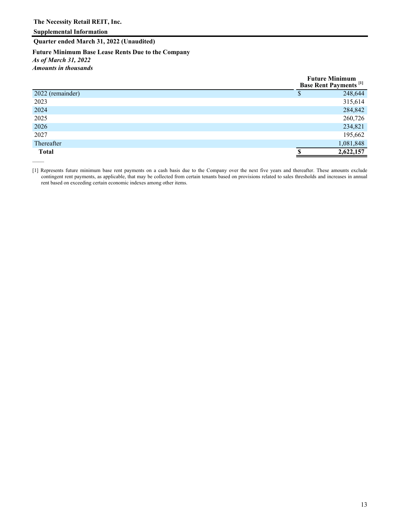**Quarter ended March 31, 2022 (Unaudited)**

**Future Minimum Base Lease Rents Due to the Company** *As of March 31, 2022 Amounts in thousands* 

|                  | <b>Future Minimum</b><br><b>Base Rent Payments</b> <sup>[1]</sup> |
|------------------|-------------------------------------------------------------------|
| 2022 (remainder) | 248,644                                                           |
| 2023             | 315,614                                                           |
| 2024             | 284,842                                                           |
| 2025             | 260,726                                                           |
| 2026             | 234,821                                                           |
| 2027             | 195,662                                                           |
| Thereafter       | 1,081,848                                                         |
| <b>Total</b>     | 2,622,157                                                         |
|                  |                                                                   |

[1] Represents future minimum base rent payments on a cash basis due to the Company over the next five years and thereafter. These amounts exclude contingent rent payments, as applicable, that may be collected from certain tenants based on provisions related to sales thresholds and increases in annual rent based on exceeding certain economic indexes among other items.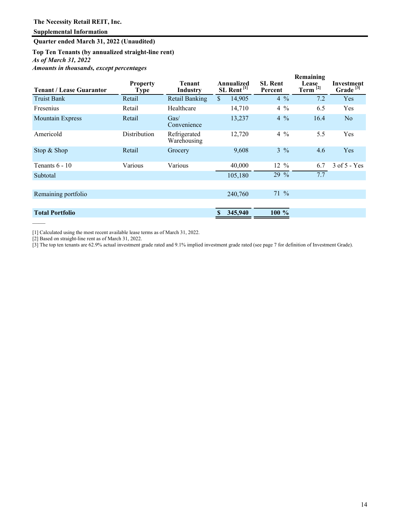**Quarter ended March 31, 2022 (Unaudited)**

**Top Ten Tenants (by annualized straight-line rent)** *As of March 31, 2022 Amounts in thousands, except percentages* 

|                                 |                                |                             |                                      |         |                           |                | Remaining                     |                                    |
|---------------------------------|--------------------------------|-----------------------------|--------------------------------------|---------|---------------------------|----------------|-------------------------------|------------------------------------|
| <b>Tenant / Lease Guarantor</b> | <b>Property</b><br><b>Type</b> | Tenant<br><b>Industry</b>   | Annualized<br>SL Rent <sup>[1]</sup> |         | <b>SL</b> Rent<br>Percent |                | <b>Lease</b><br>Term $^{[2]}$ | Investment<br>Grade <sup>[3]</sup> |
| <b>Truist Bank</b>              | Retail                         | <b>Retail Banking</b>       | $\mathbb{S}$                         | 14,905  |                           | $4\%$          | 7.2                           | Yes                                |
| Fresenius                       | Retail                         | Healthcare                  |                                      | 14,710  |                           | $4\%$          | 6.5                           | Yes                                |
| <b>Mountain Express</b>         | Retail                         | Gas/<br>Convenience         |                                      | 13,237  |                           | $4\frac{9}{6}$ | 16.4                          | No                                 |
| Americold                       | Distribution                   | Refrigerated<br>Warehousing |                                      | 12,720  |                           | $4\frac{9}{6}$ | 5.5                           | Yes                                |
| Stop & Shop                     | Retail                         | Grocery                     |                                      | 9,608   |                           | $3\frac{9}{6}$ | 4.6                           | Yes                                |
| Tenants $6 - 10$                | Various                        | Various                     |                                      | 40,000  | $12 \frac{9}{6}$          |                | 6.7                           | $3$ of $5 - Yes$                   |
| Subtotal                        |                                |                             |                                      | 105,180 | 29 %                      |                | 7.7                           |                                    |
|                                 |                                |                             |                                      |         |                           |                |                               |                                    |
| Remaining portfolio             |                                |                             |                                      | 240,760 | $71\%$                    |                |                               |                                    |
|                                 |                                |                             |                                      |         |                           |                |                               |                                    |
| <b>Total Portfolio</b>          |                                |                             |                                      | 345,940 | $100 \%$                  |                |                               |                                    |

[1] Calculated using the most recent available lease terms as of March 31, 2022.

[2] Based on straight-line rent as of March 31, 2022.

——

[3] The top ten tenants are 62.9% actual investment grade rated and 9.1% implied investment grade rated (see page 7 for definition of Investment Grade).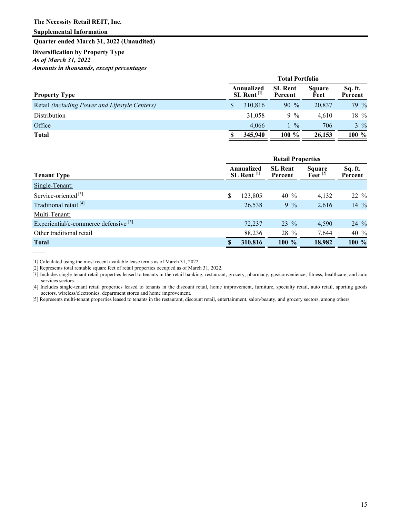**Supplemental Information**

——

**Quarter ended March 31, 2022 (Unaudited)**

## **Diversification by Property Type** *As of March 31, 2022 Amounts in thousands, except percentages*

|                                                | <b>Total Portfolio</b>                 |         |                           |                       |                    |  |  |
|------------------------------------------------|----------------------------------------|---------|---------------------------|-----------------------|--------------------|--|--|
| <b>Property Type</b>                           | Annualized<br>$SL$ Rent <sup>[1]</sup> |         | <b>SL Rent</b><br>Percent | <b>Square</b><br>Feet | Sq. ft.<br>Percent |  |  |
| Retail (including Power and Lifestyle Centers) | \$                                     | 310.816 | $90\%$                    | 20,837                | $79\%$             |  |  |
| Distribution                                   |                                        | 31.058  | $9\%$                     | 4.610                 | $18\%$             |  |  |
| Office                                         |                                        | 4.066   | $1\frac{9}{6}$            | 706                   | $3\frac{9}{6}$     |  |  |
| <b>Total</b>                                   |                                        | 345,940 | $100 \%$                  | 26,153                | $100 \%$           |  |  |

|                                                  | <b>Retail Properties</b> |                                        |                           |                                          |                    |  |  |
|--------------------------------------------------|--------------------------|----------------------------------------|---------------------------|------------------------------------------|--------------------|--|--|
| <b>Tenant Type</b>                               |                          | Annualized<br>$SL$ Rent <sup>[1]</sup> | <b>SL Rent</b><br>Percent | <b>Square</b><br>$\text{F}$ eet $^{[2]}$ | Sq. ft.<br>Percent |  |  |
| Single-Tenant:                                   |                          |                                        |                           |                                          |                    |  |  |
| Service-oriented <sup>[3]</sup>                  | \$                       | 123,805                                | 40 $\%$                   | 4,132                                    | $22\%$             |  |  |
| Traditional retail <sup>[4]</sup>                |                          | 26,538                                 | $9\%$                     | 2,616                                    | 14 $%$             |  |  |
| Multi-Tenant:                                    |                          |                                        |                           |                                          |                    |  |  |
| Experiential/e-commerce defensive <sup>[5]</sup> |                          | 72,237                                 | $23\%$                    | 4,590                                    | $24\%$             |  |  |
| Other traditional retail                         |                          | 88,236                                 | 28 %                      | 7,644                                    | 40 %               |  |  |
| <b>Total</b>                                     |                          | 310,816                                | $100 \%$                  | 18,982                                   | 100 %              |  |  |

[1] Calculated using the most recent available lease terms as of March 31, 2022.

[2] Represents total rentable square feet of retail properties occupied as of March 31, 2022.

[3] Includes single-tenant retail properties leased to tenants in the retail banking, restaurant, grocery, pharmacy, gas/convenience, fitness, healthcare, and auto services sectors.

[4] Includes single-tenant retail properties leased to tenants in the discount retail, home improvement, furniture, specialty retail, auto retail, sporting goods sectors, wireless/electronics, department stores and home improvement.

[5] Represents multi-tenant properties leased to tenants in the restaurant, discount retail, entertainment, salon/beauty, and grocery sectors, among others.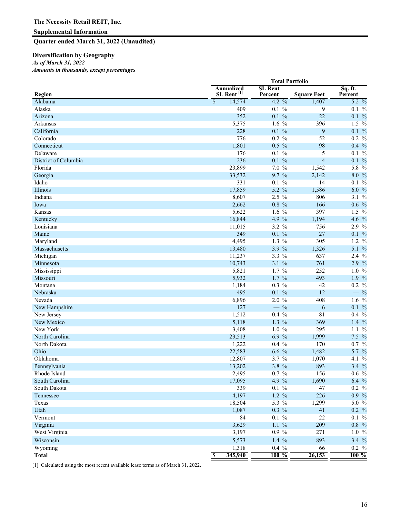**Quarter ended March 31, 2022 (Unaudited)**

## **Diversification by Geography**

*As of March 31, 2022*

*Amounts in thousands, except percentages* 

|                      | <b>Total Portfolio</b>               |         |                           |  |                    |                    |  |  |
|----------------------|--------------------------------------|---------|---------------------------|--|--------------------|--------------------|--|--|
| Region               | Annualized<br>SL Rent <sup>[1]</sup> |         | <b>SL Rent</b><br>Percent |  | <b>Square Feet</b> | Sq. ft.<br>Percent |  |  |
| Alabama              | $\overline{\mathcal{S}}$             | 14,574  | $4.2\frac{9}{6}$          |  | 1,407              | 5.2 %              |  |  |
| Alaska               |                                      | 409     | $0.1\%$                   |  | 9                  | $0.1\%$            |  |  |
| Arizona              |                                      | 352     | $0.1\%$                   |  | 22                 | $0.1\%$            |  |  |
| Arkansas             |                                      | 5,375   | $1.6\%$                   |  | 396                | $1.5\%$            |  |  |
| California           |                                      | 228     | $0.1\%$                   |  | 9                  | $0.1\%$            |  |  |
| Colorado             |                                      | 776     | $0.2\%$                   |  | 52                 | 0.2 %              |  |  |
| Connecticut          |                                      | 1,801   | $0.5\%$                   |  | 98                 | $0.4\%$            |  |  |
| Delaware             |                                      | 176     | $0.1\%$                   |  | 5                  | $0.1\%$            |  |  |
| District of Columbia |                                      | 236     | $0.1 \%$                  |  | $\overline{4}$     | $0.1\%$            |  |  |
| Florida              |                                      | 23,899  | 7.0%                      |  | 1,542              | $5.8\%$            |  |  |
| Georgia              |                                      | 33,532  | 9.7 %                     |  | 2,142              | 8.0 %              |  |  |
| Idaho                |                                      | 331     | $0.1\%$                   |  | 14                 | $0.1\%$            |  |  |
| Illinois             |                                      | 17,859  | 5.2 %                     |  | 1,586              | 6.0 %              |  |  |
| Indiana              |                                      | 8,607   | $2.5\%$                   |  | 806                | 3.1 %              |  |  |
| Iowa                 |                                      | 2,662   | $0.8\%$                   |  | 166                | $0.6\%$            |  |  |
| Kansas               |                                      | 5,622   | $1.6\%$                   |  | 397                | $1.5\%$            |  |  |
| Kentucky             |                                      | 16,844  | 4.9 %                     |  | 1,194              | 4.6 %              |  |  |
| Louisiana            |                                      | 11,015  | $3.2 \%$                  |  | 756                | $2.9\%$            |  |  |
| Maine                |                                      | 349     | $0.1 \%$                  |  | 27                 | $0.1\%$            |  |  |
| Maryland             |                                      | 4,495   | $1.3\%$                   |  | 305                | $1.2 \%$           |  |  |
| Massachusetts        |                                      | 13,480  | 3.9%                      |  | 1,326              | 5.1 %              |  |  |
| Michigan             |                                      | 11,237  | $3.3\%$                   |  | 637                | $2.4\%$            |  |  |
| Minnesota            |                                      | 10,743  | $3.1 \%$                  |  | 761                | 2.9%               |  |  |
| Mississippi          |                                      | 5,821   | $1.7\%$                   |  | 252                | 1.0%               |  |  |
| Missouri             |                                      | 5,932   | $1.7\%$                   |  | 493                | 1.9 %              |  |  |
| Montana              |                                      | 1,184   | $0.3\%$                   |  | 42                 | 0.2 %              |  |  |
| Nebraska             |                                      | 495     | $0.1\%$                   |  | 12                 | $-$ %              |  |  |
| Nevada               |                                      | 6,896   | $2.0\%$                   |  | 408                | 1.6 $%$            |  |  |
| New Hampshire        |                                      | 127     | $-$ %                     |  | 6                  | $0.1\%$            |  |  |
| New Jersey           |                                      | 1,512   | $0.4\%$                   |  | 81                 | $0.4\%$            |  |  |
| New Mexico           |                                      | 5,118   | $1.3\%$                   |  | 369                | 1.4 $%$            |  |  |
| New York             |                                      | 3,408   | $1.0\%$                   |  | 295                | $1.1\%$            |  |  |
| North Carolina       |                                      | 23,513  | 6.9%                      |  | 1,999              | $7.5\%$            |  |  |
| North Dakota         |                                      | 1,222   | $0.4\%$                   |  | 170                | $0.7\%$            |  |  |
| Ohio                 |                                      | 22,583  | $6.6\%$                   |  | 1,482              | 5.7 %              |  |  |
| Oklahoma             |                                      | 12,807  | 3.7 %                     |  | 1,070              | 4.1 %              |  |  |
| Pennsylvania         |                                      | 13,202  | 3.8 %                     |  | 893                | 3.4%               |  |  |
| Rhode Island         |                                      | 2,495   | $0.7 \%$                  |  | 156                | $0.6\%$            |  |  |
| South Carolina       |                                      | 17,095  | 4.9 %                     |  | 1,690              | $6.4\%$            |  |  |
| South Dakota         |                                      | 339     | $0.1~\%$                  |  | 47                 | 0.2 %              |  |  |
| Tennessee            |                                      | 4,197   | $1.2 \%$                  |  | 226                | $0.9\%$            |  |  |
| Texas                |                                      | 18,504  | 5.3 %                     |  | 1,299              | 5.0 %              |  |  |
| Utah                 |                                      | 1,087   | $0.3\%$                   |  | 41                 | 0.2 %              |  |  |
| Vermont              |                                      | 84      | $0.1~\%$                  |  | 22                 | $0.1\%$            |  |  |
| Virginia             |                                      | 3,629   | $1.1\%$                   |  | 209                | $0.8\,%$           |  |  |
| West Virginia        |                                      | 3,197   | $0.9 \%$                  |  | 271                | $1.0 \%$           |  |  |
| Wisconsin            |                                      | 5,573   | 1.4 $%$                   |  | 893                | 3.4 %              |  |  |
| Wyoming              |                                      | 1,318   | $0.4\%$                   |  | 66                 | 0.2 %              |  |  |
| <b>Total</b>         | $\overline{\mathbf{s}}$              | 345,940 | $100\%$                   |  | 26,153             | $100\%$            |  |  |

[1] Calculated using the most recent available lease terms as of March 31, 2022.